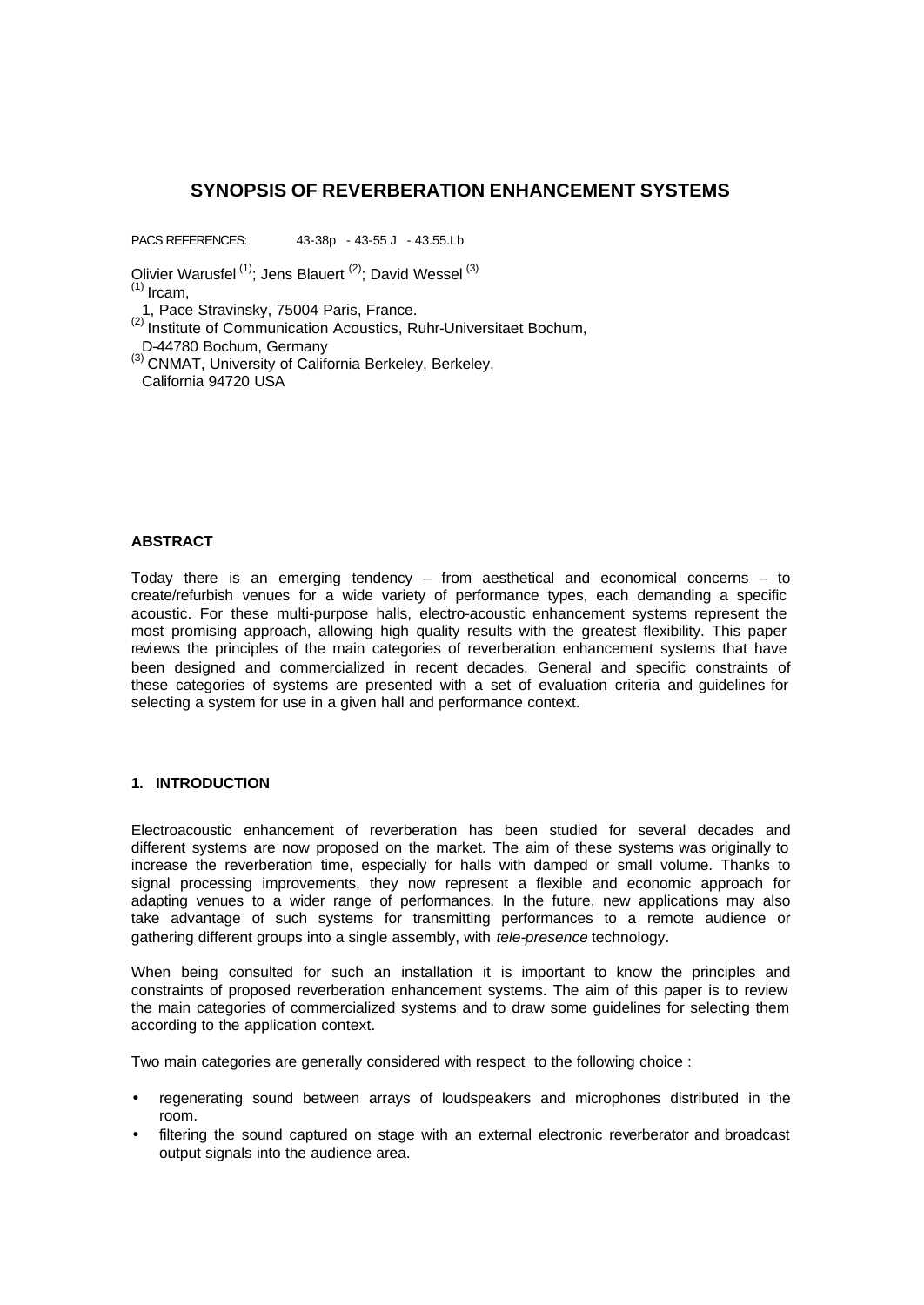# **SYNOPSIS OF REVERBERATION ENHANCEMENT SYSTEMS**

PACS REFERENCES: 43-38p - 43-55 J - 43.55.Lb

Olivier Warusfel  $(1)$ ; Jens Blauert  $(2)$ ; David Wessel  $(3)$  $(1)$  Ircam,

1, Pace Stravinsky, 75004 Paris, France.

(2) Institute of Communication Acoustics, Ruhr-Universitaet Bochum, D-44780 Bochum, Germany

(3) CNMAT, University of California Berkeley, Berkeley, California 94720 USA

## **ABSTRACT**

Today there is an emerging tendency – from aesthetical and economical concerns – to create/refurbish venues for a wide variety of performance types, each demanding a specific acoustic. For these multi-purpose halls, electro-acoustic enhancement systems represent the most promising approach, allowing high quality results with the greatest flexibility. This paper reviews the principles of the main categories of reverberation enhancement systems that have been designed and commercialized in recent decades. General and specific constraints of these categories of systems are presented with a set of evaluation criteria and guidelines for selecting a system for use in a given hall and performance context.

#### **1. INTRODUCTION**

Electroacoustic enhancement of reverberation has been studied for several decades and different systems are now proposed on the market. The aim of these systems was originally to increase the reverberation time, especially for halls with damped or small volume. Thanks to signal processing improvements, they now represent a flexible and economic approach for adapting venues to a wider range of performances. In the future, new applications may also take advantage of such systems for transmitting performances to a remote audience or gathering different groups into a single assembly, with *tele-presence* technology.

When being consulted for such an installation it is important to know the principles and constraints of proposed reverberation enhancement systems. The aim of this paper is to review the main categories of commercialized systems and to draw some guidelines for selecting them according to the application context.

Two main categories are generally considered with respect to the following choice :

- regenerating sound between arrays of loudspeakers and microphones distributed in the room.
- filtering the sound captured on stage with an external electronic reverberator and broadcast output signals into the audience area.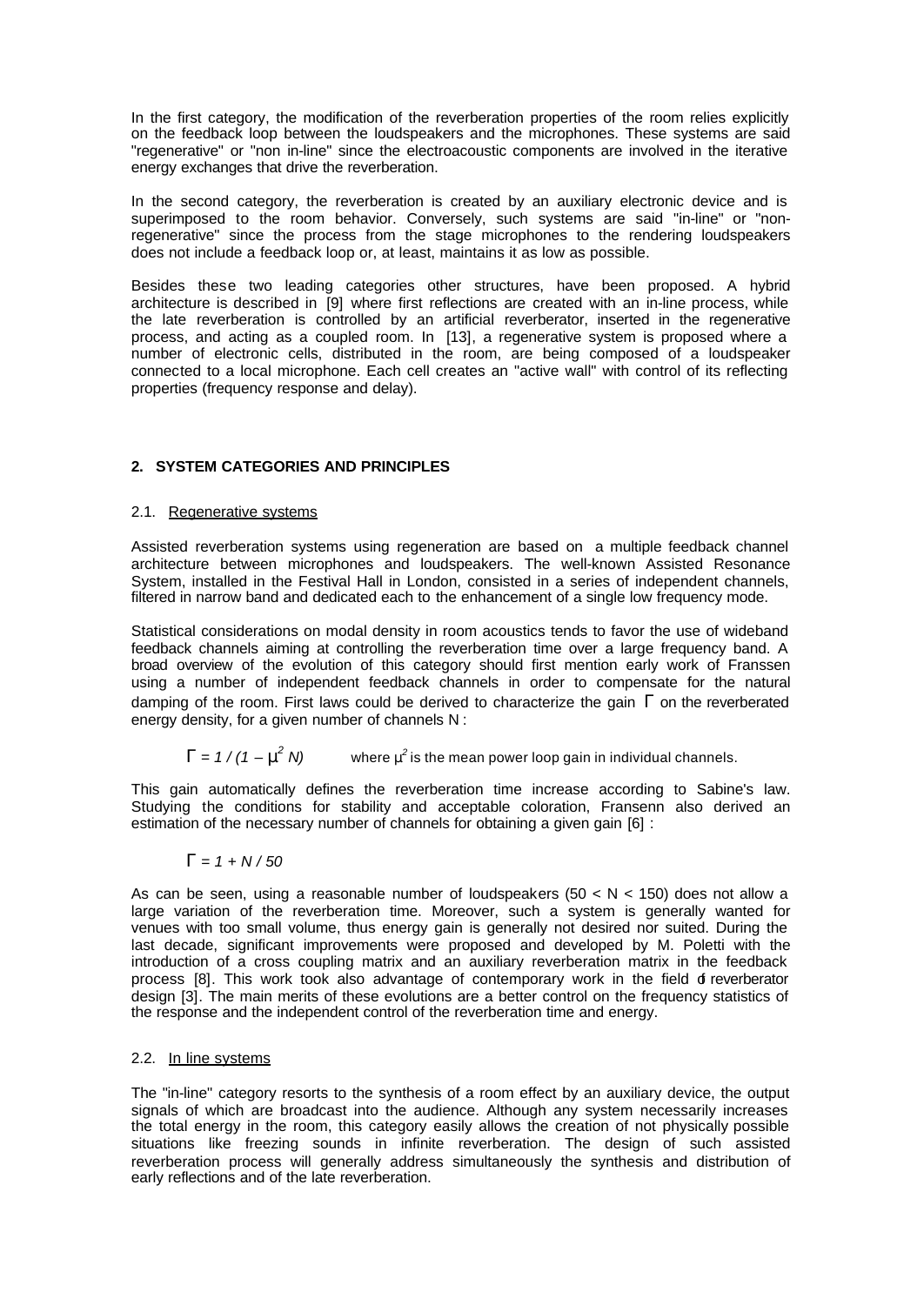In the first category, the modification of the reverberation properties of the room relies explicitly on the feedback loop between the loudspeakers and the microphones. These systems are said "regenerative" or "non in-line" since the electroacoustic components are involved in the iterative energy exchanges that drive the reverberation.

In the second category, the reverberation is created by an auxiliary electronic device and is superimposed to the room behavior. Conversely, such systems are said "in-line" or "nonregenerative" since the process from the stage microphones to the rendering loudspeakers does not include a feedback loop or, at least, maintains it as low as possible.

Besides these two leading categories other structures, have been proposed. A hybrid architecture is described in [9] where first reflections are created with an in-line process, while the late reverberation is controlled by an artificial reverberator, inserted in the regenerative process, and acting as a coupled room. In [13], a regenerative system is proposed where a number of electronic cells, distributed in the room, are being composed of a loudspeaker connected to a local microphone. Each cell creates an "active wall" with control of its reflecting properties (frequency response and delay).

# **2. SYSTEM CATEGORIES AND PRINCIPLES**

## 2.1. Regenerative systems

Assisted reverberation systems using regeneration are based on a multiple feedback channel architecture between microphones and loudspeakers. The well-known Assisted Resonance System, installed in the Festival Hall in London, consisted in a series of independent channels, filtered in narrow band and dedicated each to the enhancement of a single low frequency mode.

Statistical considerations on modal density in room acoustics tends to favor the use of wideband feedback channels aiming at controlling the reverberation time over a large frequency band. A broad overview of the evolution of this category should first mention early work of Franssen using a number of independent feedback channels in order to compensate for the natural damping of the room. First laws could be derived to characterize the gain *G* on the reverberated energy density, for a given number of channels N :

$$
G = 1/(1 - m^2 N)
$$
 where  $m^2$  is the mean power loop gain in individual channels.

This gain automatically defines the reverberation time increase according to Sabine's law. Studying the conditions for stability and acceptable coloration, Fransenn also derived an estimation of the necessary number of channels for obtaining a given gain [6] :

$$
G=1+N/50
$$

As can be seen, using a reasonable number of loudspeakers (50  $\lt N \lt 150$ ) does not allow a large variation of the reverberation time. Moreover, such a system is generally wanted for venues with too small volume, thus energy gain is generally not desired nor suited. During the last decade, significant improvements were proposed and developed by M. Poletti with the introduction of a cross coupling matrix and an auxiliary reverberation matrix in the feedback process [8]. This work took also advantage of contemporary work in the field of reverberator design [3]. The main merits of these evolutions are a better control on the frequency statistics of the response and the independent control of the reverberation time and energy.

## 2.2. In line systems

The "in-line" category resorts to the synthesis of a room effect by an auxiliary device, the output signals of which are broadcast into the audience. Although any system necessarily increases the total energy in the room, this category easily allows the creation of not physically possible situations like freezing sounds in infinite reverberation. The design of such assisted reverberation process will generally address simultaneously the synthesis and distribution of early reflections and of the late reverberation.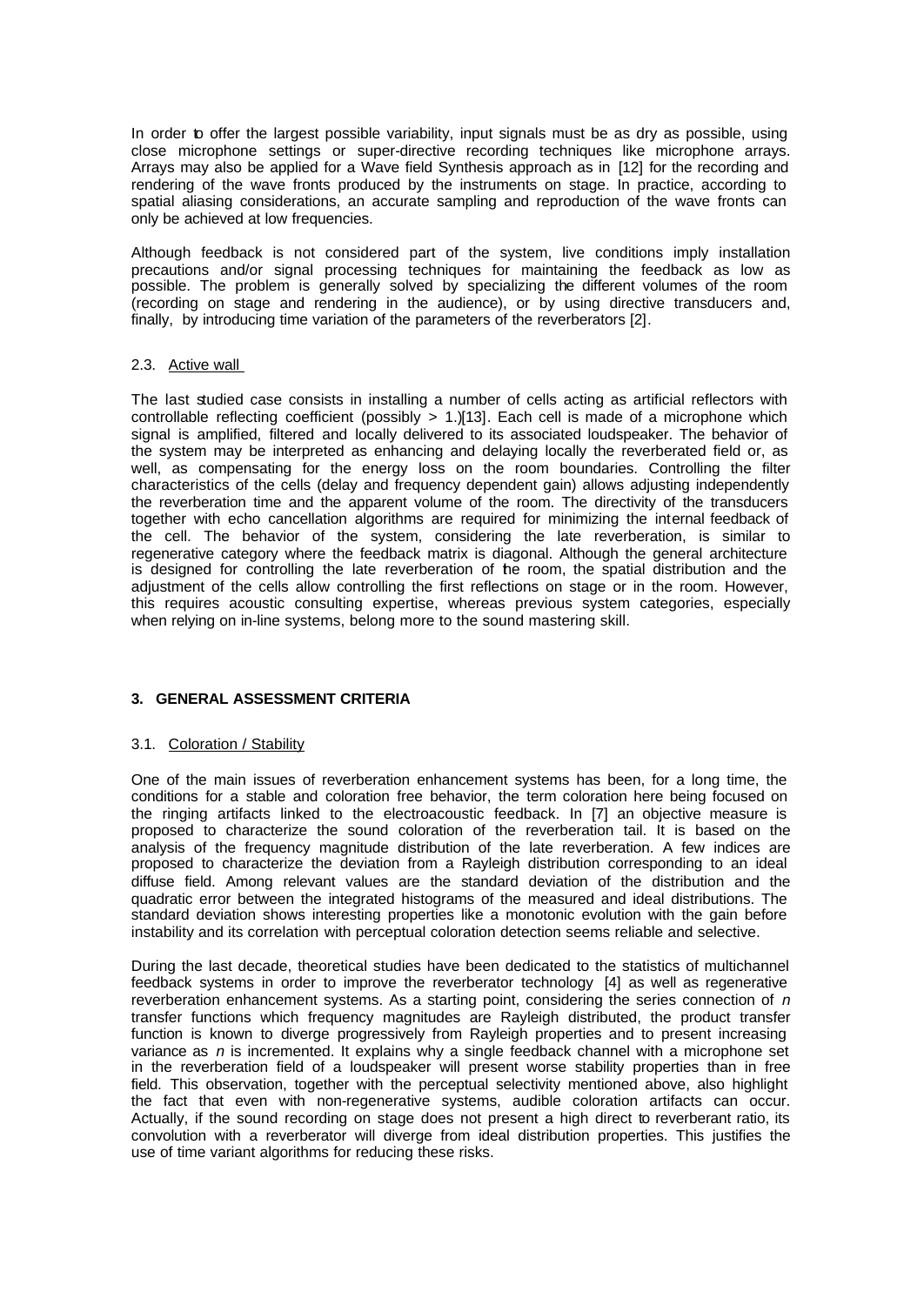In order to offer the largest possible variability, input signals must be as dry as possible, using close microphone settings or super-directive recording techniques like microphone arrays. Arrays may also be applied for a Wave field Synthesis approach as in [12] for the recording and rendering of the wave fronts produced by the instruments on stage. In practice, according to spatial aliasing considerations, an accurate sampling and reproduction of the wave fronts can only be achieved at low frequencies.

Although feedback is not considered part of the system, live conditions imply installation precautions and/or signal processing techniques for maintaining the feedback as low as possible. The problem is generally solved by specializing the different volumes of the room (recording on stage and rendering in the audience), or by using directive transducers and, finally, by introducing time variation of the parameters of the reverberators [2].

### 2.3. Active wall

The last studied case consists in installing a number of cells acting as artificial reflectors with controllable reflecting coefficient (possibly > 1.)[13]. Each cell is made of a microphone which signal is amplified, filtered and locally delivered to its associated loudspeaker. The behavior of the system may be interpreted as enhancing and delaying locally the reverberated field or, as well, as compensating for the energy loss on the room boundaries. Controlling the filter characteristics of the cells (delay and frequency dependent gain) allows adjusting independently the reverberation time and the apparent volume of the room. The directivity of the transducers together with echo cancellation algorithms are required for minimizing the internal feedback of the cell. The behavior of the system, considering the late reverberation, is similar to regenerative category where the feedback matrix is diagonal. Although the general architecture is designed for controlling the late reverberation of the room, the spatial distribution and the adjustment of the cells allow controlling the first reflections on stage or in the room. However, this requires acoustic consulting expertise, whereas previous system categories, especially when relying on in-line systems, belong more to the sound mastering skill.

## **3. GENERAL ASSESSMENT CRITERIA**

#### 3.1. Coloration / Stability

One of the main issues of reverberation enhancement systems has been, for a long time, the conditions for a stable and coloration free behavior, the term coloration here being focused on the ringing artifacts linked to the electroacoustic feedback. In [7] an objective measure is proposed to characterize the sound coloration of the reverberation tail. It is based on the analysis of the frequency magnitude distribution of the late reverberation. A few indices are proposed to characterize the deviation from a Rayleigh distribution corresponding to an ideal diffuse field. Among relevant values are the standard deviation of the distribution and the quadratic error between the integrated histograms of the measured and ideal distributions. The standard deviation shows interesting properties like a monotonic evolution with the gain before instability and its correlation with perceptual coloration detection seems reliable and selective.

During the last decade, theoretical studies have been dedicated to the statistics of multichannel feedback systems in order to improve the reverberator technology [4] as well as regenerative reverberation enhancement systems. As a starting point, considering the series connection of *n* transfer functions which frequency magnitudes are Rayleigh distributed, the product transfer function is known to diverge progressively from Rayleigh properties and to present increasing variance as *n* is incremented. It explains why a single feedback channel with a microphone set in the reverberation field of a loudspeaker will present worse stability properties than in free field. This observation, together with the perceptual selectivity mentioned above, also highlight the fact that even with non-regenerative systems, audible coloration artifacts can occur. Actually, if the sound recording on stage does not present a high direct to reverberant ratio, its convolution with a reverberator will diverge from ideal distribution properties. This justifies the use of time variant algorithms for reducing these risks.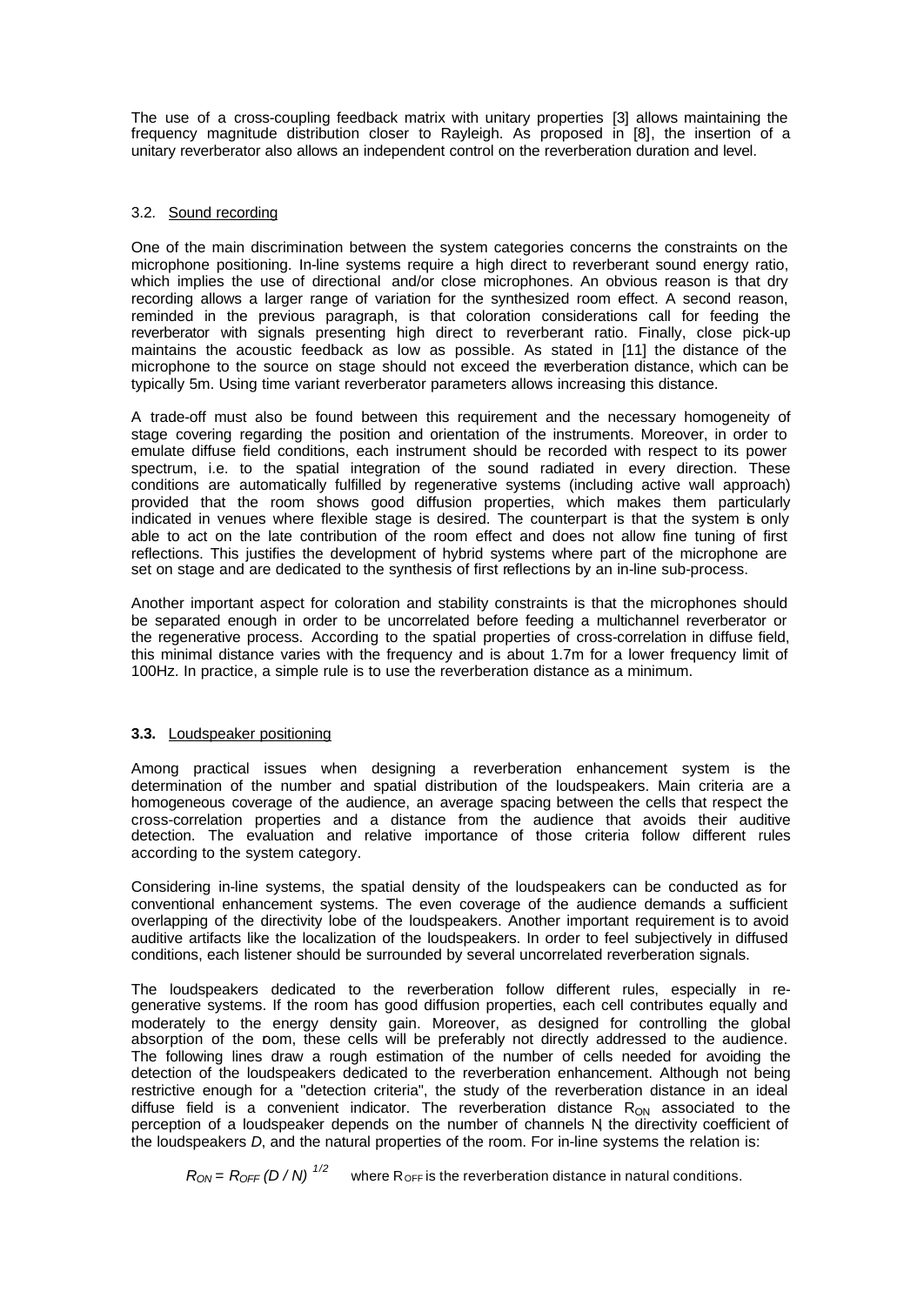The use of a cross-coupling feedback matrix with unitary properties [3] allows maintaining the frequency magnitude distribution closer to Rayleigh. As proposed in [8], the insertion of a unitary reverberator also allows an independent control on the reverberation duration and level.

## 3.2. Sound recording

One of the main discrimination between the system categories concerns the constraints on the microphone positioning. In-line systems require a high direct to reverberant sound energy ratio, which implies the use of directional and/or close microphones. An obvious reason is that dry recording allows a larger range of variation for the synthesized room effect. A second reason, reminded in the previous paragraph, is that coloration considerations call for feeding the reverberator with signals presenting high direct to reverberant ratio. Finally, close pick-up maintains the acoustic feedback as low as possible. As stated in [11] the distance of the microphone to the source on stage should not exceed the reverberation distance, which can be typically 5m. Using time variant reverberator parameters allows increasing this distance.

A trade-off must also be found between this requirement and the necessary homogeneity of stage covering regarding the position and orientation of the instruments. Moreover, in order to emulate diffuse field conditions, each instrument should be recorded with respect to its power spectrum, i.e. to the spatial integration of the sound radiated in every direction. These conditions are automatically fulfilled by regenerative systems (including active wall approach) provided that the room shows good diffusion properties, which makes them particularly indicated in venues where flexible stage is desired. The counterpart is that the system is only able to act on the late contribution of the room effect and does not allow fine tuning of first reflections. This justifies the development of hybrid systems where part of the microphone are set on stage and are dedicated to the synthesis of first reflections by an in-line sub-process.

Another important aspect for coloration and stability constraints is that the microphones should be separated enough in order to be uncorrelated before feeding a multichannel reverberator or the regenerative process. According to the spatial properties of cross-correlation in diffuse field, this minimal distance varies with the frequency and is about 1.7m for a lower frequency limit of 100Hz. In practice, a simple rule is to use the reverberation distance as a minimum.

## **3.3.** Loudspeaker positioning

Among practical issues when designing a reverberation enhancement system is the determination of the number and spatial distribution of the loudspeakers. Main criteria are a homogeneous coverage of the audience, an average spacing between the cells that respect the cross-correlation properties and a distance from the audience that avoids their auditive detection. The evaluation and relative importance of those criteria follow different rules according to the system category.

Considering in-line systems, the spatial density of the loudspeakers can be conducted as for conventional enhancement systems. The even coverage of the audience demands a sufficient overlapping of the directivity lobe of the loudspeakers. Another important requirement is to avoid auditive artifacts like the localization of the loudspeakers. In order to feel subjectively in diffused conditions, each listener should be surrounded by several uncorrelated reverberation signals.

The loudspeakers dedicated to the reverberation follow different rules, especially in regenerative systems. If the room has good diffusion properties, each cell contributes equally and moderately to the energy density gain. Moreover, as designed for controlling the global absorption of the pom, these cells will be preferably not directly addressed to the audience. The following lines draw a rough estimation of the number of cells needed for avoiding the detection of the loudspeakers dedicated to the reverberation enhancement. Although not being restrictive enough for a "detection criteria", the study of the reverberation distance in an ideal diffuse field is a convenient indicator. The reverberation distance  $R_{ON}$  associated to the perception of a loudspeaker depends on the number of channels N the directivity coefficient of the loudspeakers *D*, and the natural properties of the room. For in-line systems the relation is:

 $R_{ON} = R_{OFF} (D/N)^{1/2}$  where  $R_{OFF}$  is the reverberation distance in natural conditions.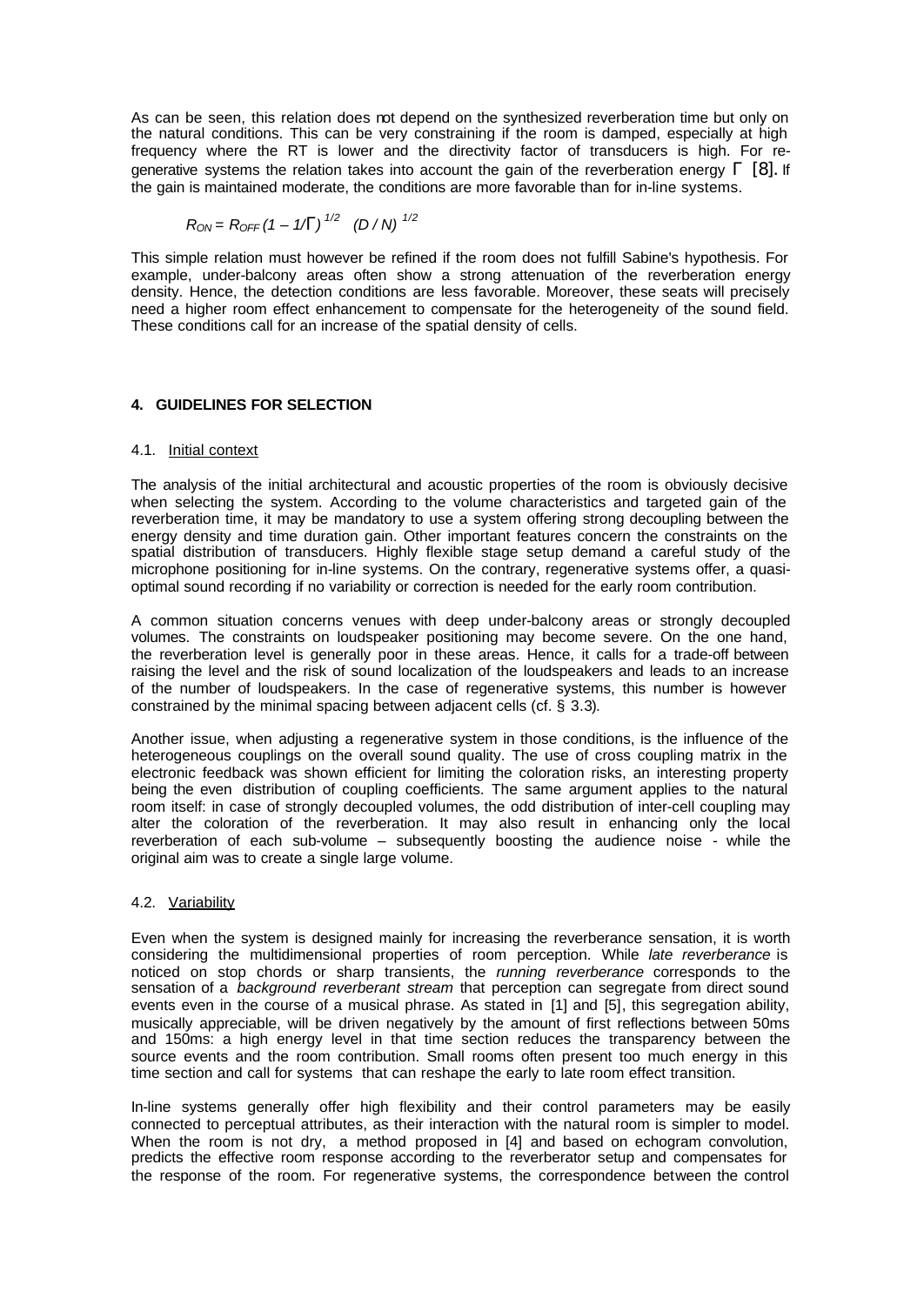As can be seen, this relation does not depend on the synthesized reverberation time but only on the natural conditions. This can be very constraining if the room is damped, especially at high frequency where the RT is lower and the directivity factor of transducers is high. For regenerative systems the relation takes into account the gain of the reverberation energy *G* [8]*.* If the gain is maintained moderate, the conditions are more favorable than for in-line systems.

$$
R_{ON} = R_{OFF} (1 - 1/G)^{1/2} (D/N)^{1/2}
$$

This simple relation must however be refined if the room does not fulfill Sabine's hypothesis. For example, under-balcony areas often show a strong attenuation of the reverberation energy density. Hence, the detection conditions are less favorable. Moreover, these seats will precisely need a higher room effect enhancement to compensate for the heterogeneity of the sound field. These conditions call for an increase of the spatial density of cells.

## **4. GUIDELINES FOR SELECTION**

## 4.1. Initial context

The analysis of the initial architectural and acoustic properties of the room is obviously decisive when selecting the system. According to the volume characteristics and targeted gain of the reverberation time, it may be mandatory to use a system offering strong decoupling between the energy density and time duration gain. Other important features concern the constraints on the spatial distribution of transducers. Highly flexible stage setup demand a careful study of the microphone positioning for in-line systems. On the contrary, regenerative systems offer, a quasioptimal sound recording if no variability or correction is needed for the early room contribution.

A common situation concerns venues with deep under-balcony areas or strongly decoupled volumes. The constraints on loudspeaker positioning may become severe. On the one hand, the reverberation level is generally poor in these areas. Hence, it calls for a trade-off between raising the level and the risk of sound localization of the loudspeakers and leads to an increase of the number of loudspeakers. In the case of regenerative systems, this number is however constrained by the minimal spacing between adjacent cells (cf. § 3.3).

Another issue, when adjusting a regenerative system in those conditions, is the influence of the heterogeneous couplings on the overall sound quality. The use of cross coupling matrix in the electronic feedback was shown efficient for limiting the coloration risks, an interesting property being the even distribution of coupling coefficients. The same argument applies to the natural room itself: in case of strongly decoupled volumes, the odd distribution of inter-cell coupling may alter the coloration of the reverberation. It may also result in enhancing only the local reverberation of each sub-volume – subsequently boosting the audience noise - while the original aim was to create a single large volume.

## 4.2. Variability

Even when the system is designed mainly for increasing the reverberance sensation, it is worth considering the multidimensional properties of room perception. While *late reverberance* is noticed on stop chords or sharp transients, the *running reverberance* corresponds to the sensation of a *background reverberant stream* that perception can segregate from direct sound events even in the course of a musical phrase. As stated in [1] and [5], this segregation ability, musically appreciable, will be driven negatively by the amount of first reflections between 50ms and 150ms: a high energy level in that time section reduces the transparency between the source events and the room contribution. Small rooms often present too much energy in this time section and call for systems that can reshape the early to late room effect transition.

In-line systems generally offer high flexibility and their control parameters may be easily connected to perceptual attributes, as their interaction with the natural room is simpler to model. When the room is not dry, a method proposed in [4] and based on echogram convolution, predicts the effective room response according to the reverberator setup and compensates for the response of the room. For regenerative systems, the correspondence between the control